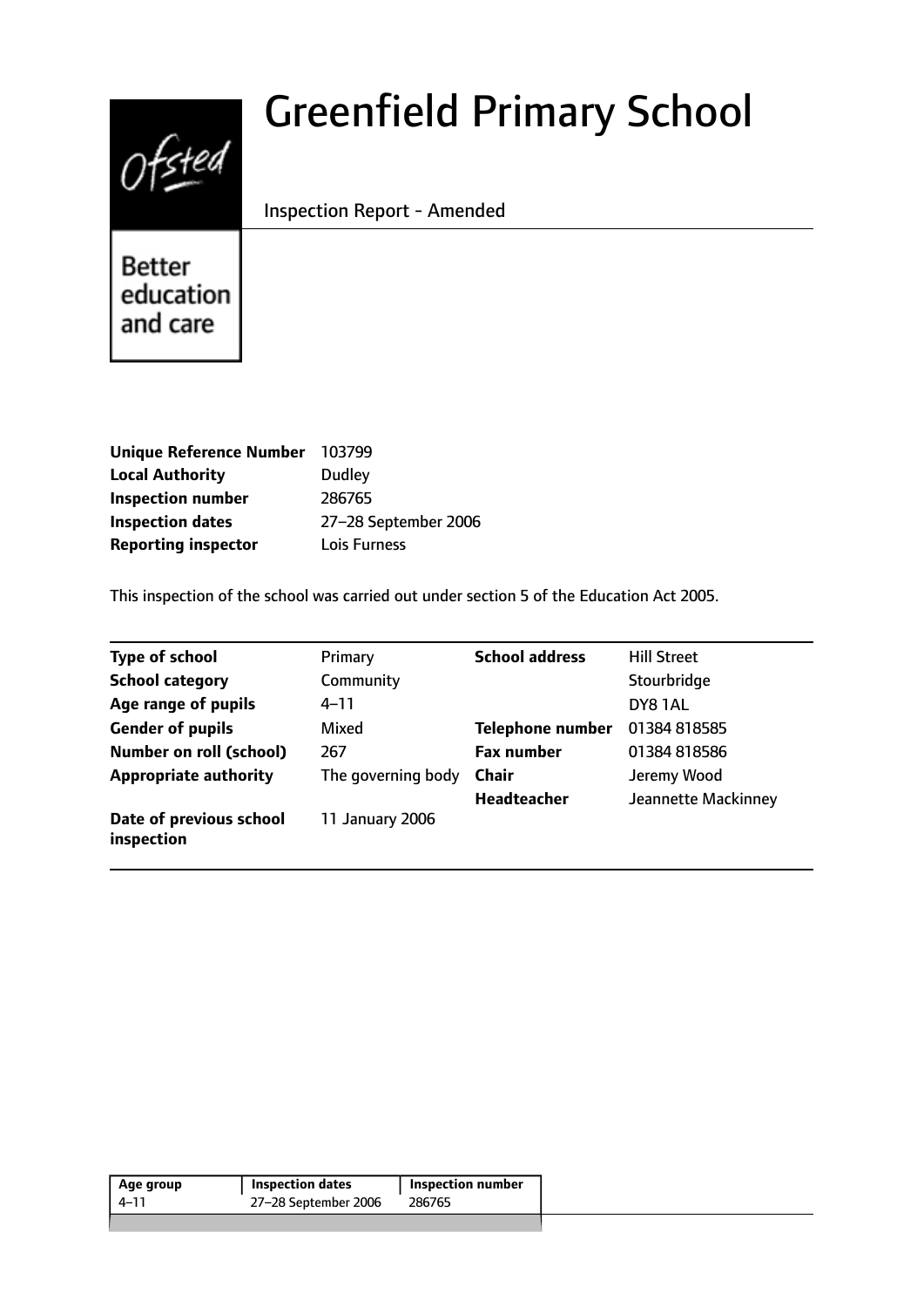# $0$ fsted

# Greenfield Primary School

Inspection Report - Amended

**Better** education and care

| <b>Unique Reference Number</b> | 103799               |
|--------------------------------|----------------------|
| <b>Local Authority</b>         | <b>Dudley</b>        |
| <b>Inspection number</b>       | 286765               |
| <b>Inspection dates</b>        | 27-28 September 2006 |
| <b>Reporting inspector</b>     | Lois Furness         |

This inspection of the school was carried out under section 5 of the Education Act 2005.

| <b>Type of school</b>                 | Primary            | <b>School address</b>   | <b>Hill Street</b>  |
|---------------------------------------|--------------------|-------------------------|---------------------|
| <b>School category</b>                | Community          |                         | Stourbridge         |
| Age range of pupils                   | $4 - 11$           |                         | DY81AL              |
| <b>Gender of pupils</b>               | Mixed              | <b>Telephone number</b> | 01384 818585        |
| <b>Number on roll (school)</b>        | 267                | <b>Fax number</b>       | 01384 818586        |
| <b>Appropriate authority</b>          | The governing body | <b>Chair</b>            | Jeremy Wood         |
|                                       |                    | <b>Headteacher</b>      | Jeannette Mackinney |
| Date of previous school<br>inspection | 11 January 2006    |                         |                     |

| Age group | <b>Inspection dates</b> | <b>Inspection number</b> |
|-----------|-------------------------|--------------------------|
| 4–11      | 27-28 September 2006    | 286765                   |
|           |                         |                          |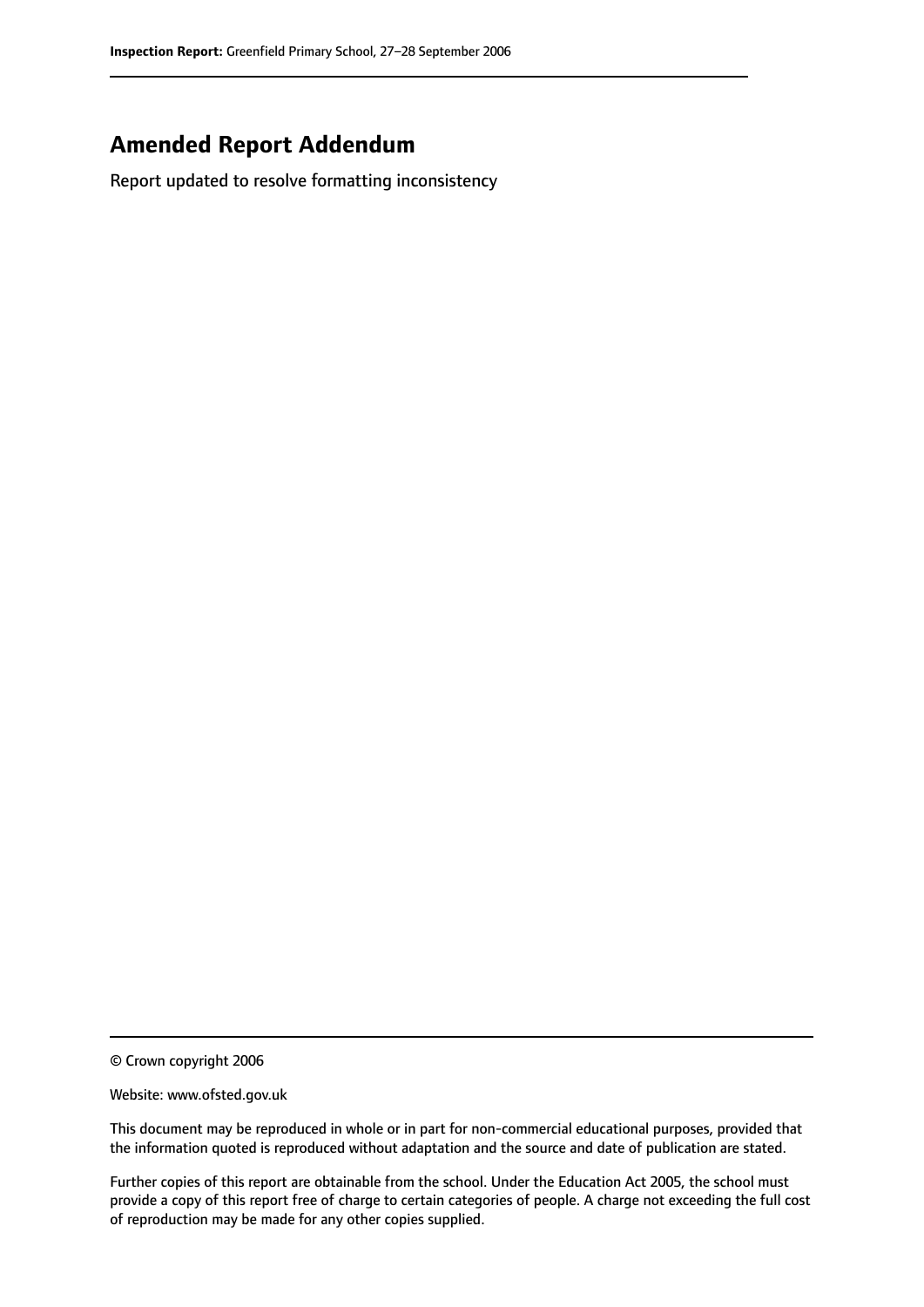# **Amended Report Addendum**

Report updated to resolve formatting inconsistency

© Crown copyright 2006

Website: www.ofsted.gov.uk

This document may be reproduced in whole or in part for non-commercial educational purposes, provided that the information quoted is reproduced without adaptation and the source and date of publication are stated.

Further copies of this report are obtainable from the school. Under the Education Act 2005, the school must provide a copy of this report free of charge to certain categories of people. A charge not exceeding the full cost of reproduction may be made for any other copies supplied.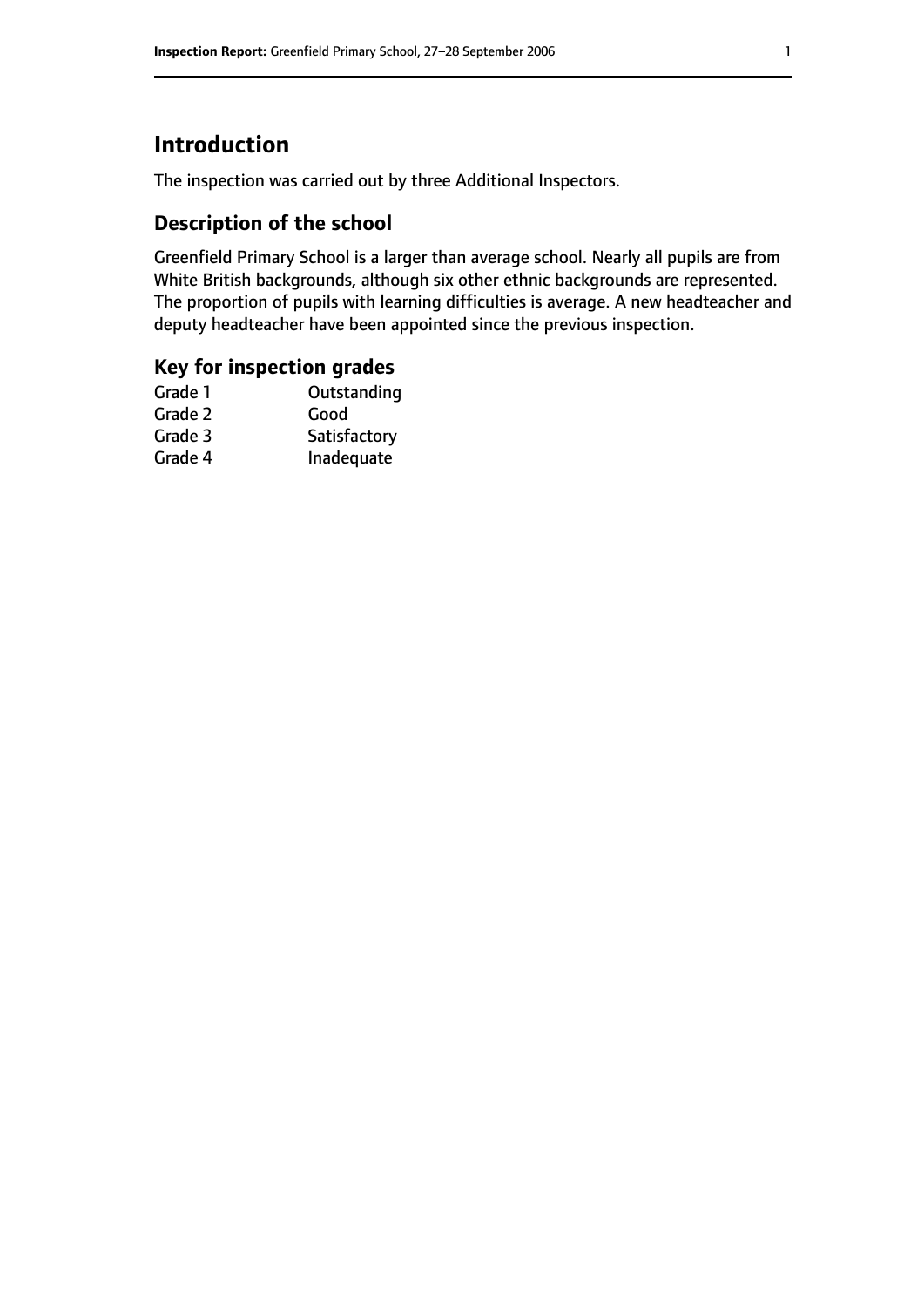# **Introduction**

The inspection was carried out by three Additional Inspectors.

# **Description of the school**

Greenfield Primary School is a larger than average school. Nearly all pupils are from White British backgrounds, although six other ethnic backgrounds are represented. The proportion of pupils with learning difficulties is average. A new headteacher and deputy headteacher have been appointed since the previous inspection.

### **Key for inspection grades**

| Outstanding  |
|--------------|
| Good         |
| Satisfactory |
| Inadequate   |
|              |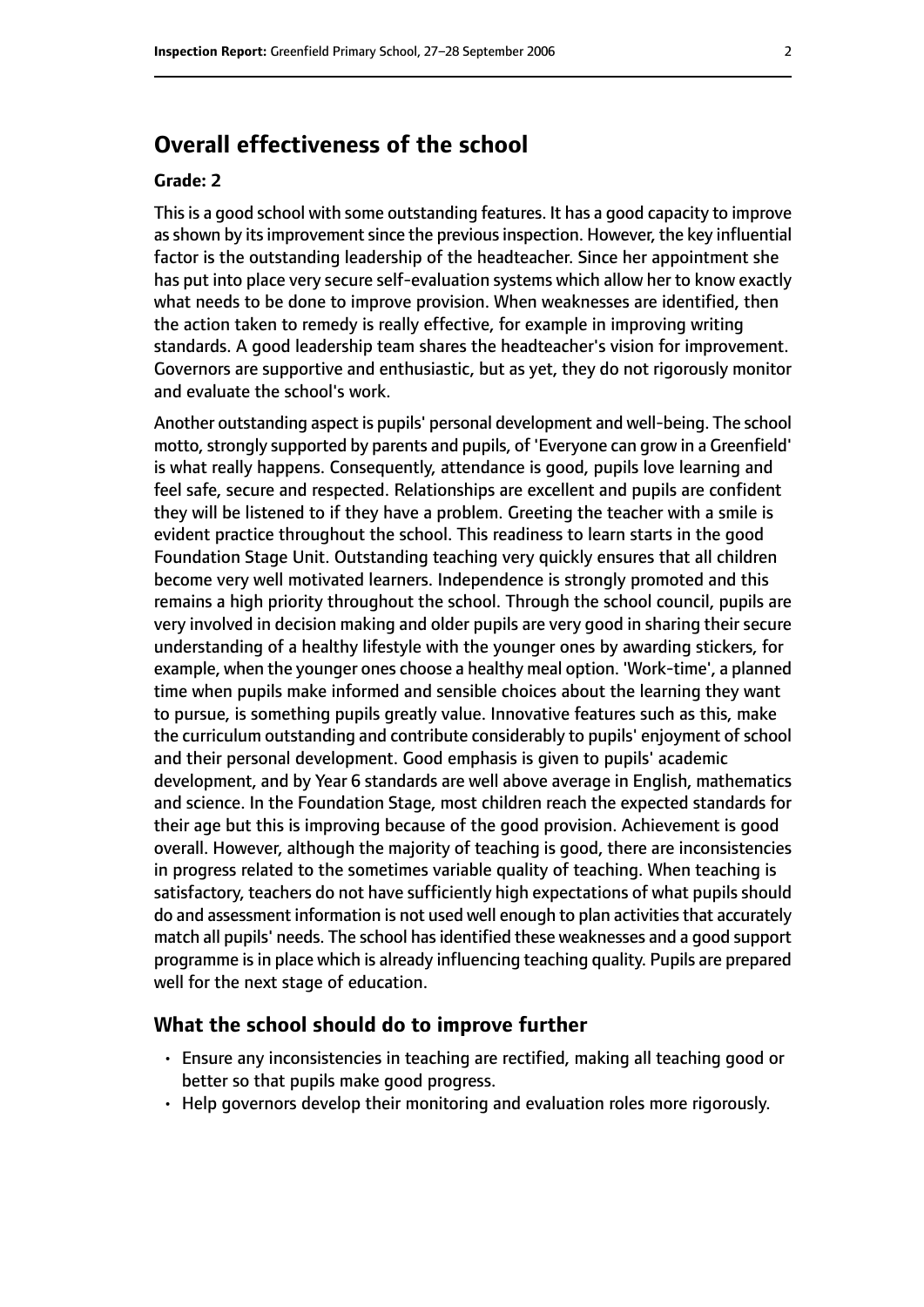# **Overall effectiveness of the school**

#### **Grade: 2**

This is a good school with some outstanding features. It has a good capacity to improve as shown by its improvement since the previous inspection. However, the key influential factor is the outstanding leadership of the headteacher. Since her appointment she has put into place very secure self-evaluation systems which allow her to know exactly what needs to be done to improve provision. When weaknesses are identified, then the action taken to remedy is really effective, for example in improving writing standards. A good leadership team shares the headteacher's vision for improvement. Governors are supportive and enthusiastic, but as yet, they do not rigorously monitor and evaluate the school's work.

Another outstanding aspect is pupils' personal development and well-being. The school motto, strongly supported by parents and pupils, of 'Everyone can grow in a Greenfield' is what really happens. Consequently, attendance is good, pupils love learning and feel safe, secure and respected. Relationships are excellent and pupils are confident they will be listened to if they have a problem. Greeting the teacher with a smile is evident practice throughout the school. This readiness to learn starts in the good Foundation Stage Unit. Outstanding teaching very quickly ensures that all children become very well motivated learners. Independence is strongly promoted and this remains a high priority throughout the school. Through the school council, pupils are very involved in decision making and older pupils are very good in sharing their secure understanding of a healthy lifestyle with the younger ones by awarding stickers, for example, when the younger ones choose a healthy meal option. 'Work-time', a planned time when pupils make informed and sensible choices about the learning they want to pursue, is something pupils greatly value. Innovative features such as this, make the curriculum outstanding and contribute considerably to pupils' enjoyment of school and their personal development. Good emphasis is given to pupils' academic development, and by Year 6 standards are well above average in English, mathematics and science. In the Foundation Stage, most children reach the expected standards for their age but this is improving because of the good provision. Achievement is good overall. However, although the majority of teaching is good, there are inconsistencies in progress related to the sometimes variable quality of teaching. When teaching is satisfactory, teachers do not have sufficiently high expectations of what pupils should do and assessment information is not used well enough to plan activities that accurately match all pupils' needs. The school hasidentified these weaknesses and a good support programme is in place which is already influencing teaching quality. Pupils are prepared well for the next stage of education.

#### **What the school should do to improve further**

- Ensure any inconsistencies in teaching are rectified, making all teaching good or better so that pupils make good progress.
- Help governors develop their monitoring and evaluation roles more rigorously.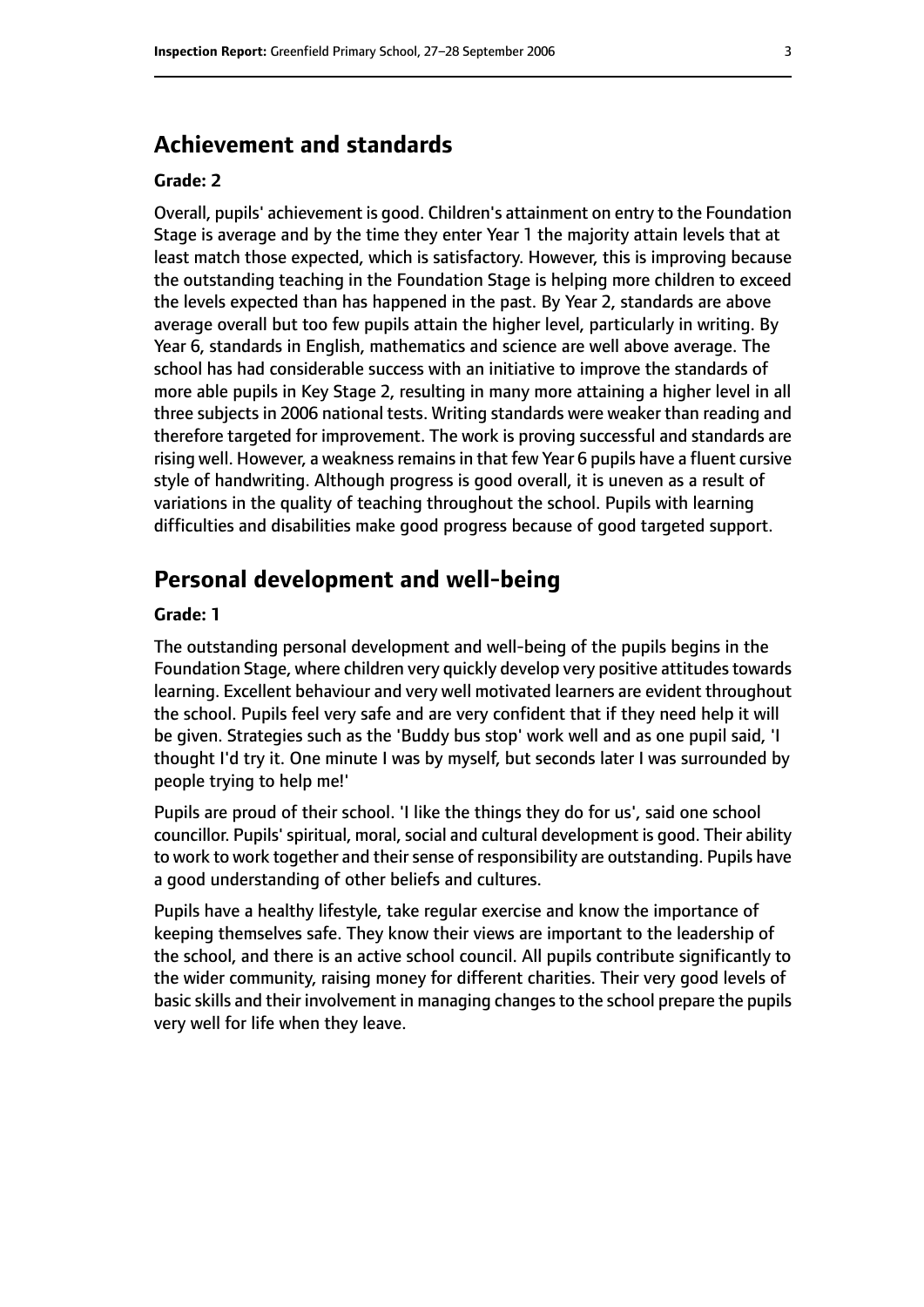# **Achievement and standards**

#### **Grade: 2**

Overall, pupils' achievement is good. Children's attainment on entry to the Foundation Stage is average and by the time they enter Year 1 the majority attain levels that at least match those expected, which is satisfactory. However, this is improving because the outstanding teaching in the Foundation Stage is helping more children to exceed the levels expected than has happened in the past. By Year 2, standards are above average overall but too few pupils attain the higher level, particularly in writing. By Year 6, standards in English, mathematics and science are well above average. The school has had considerable success with an initiative to improve the standards of more able pupils in Key Stage 2, resulting in many more attaining a higher level in all three subjects in 2006 national tests. Writing standards were weaker than reading and therefore targeted for improvement. The work is proving successful and standards are rising well. However, a weakness remains in that few Year 6 pupils have a fluent cursive style of handwriting. Although progress is good overall, it is uneven as a result of variations in the quality of teaching throughout the school. Pupils with learning difficulties and disabilities make good progress because of good targeted support.

# **Personal development and well-being**

#### **Grade: 1**

The outstanding personal development and well-being of the pupils begins in the Foundation Stage, where children very quickly develop very positive attitudes towards learning. Excellent behaviour and very well motivated learners are evident throughout the school. Pupils feel very safe and are very confident that if they need help it will be given. Strategies such as the 'Buddy bus stop' work well and as one pupil said, 'I thought I'd try it. One minute I was by myself, but seconds later I was surrounded by people trying to help me!'

Pupils are proud of their school. 'I like the things they do for us', said one school councillor. Pupils' spiritual, moral, social and cultural development is good. Their ability to work to work together and their sense of responsibility are outstanding. Pupils have a good understanding of other beliefs and cultures.

Pupils have a healthy lifestyle, take regular exercise and know the importance of keeping themselves safe. They know their views are important to the leadership of the school, and there is an active school council. All pupils contribute significantly to the wider community, raising money for different charities. Their very good levels of basic skills and their involvement in managing changesto the school prepare the pupils very well for life when they leave.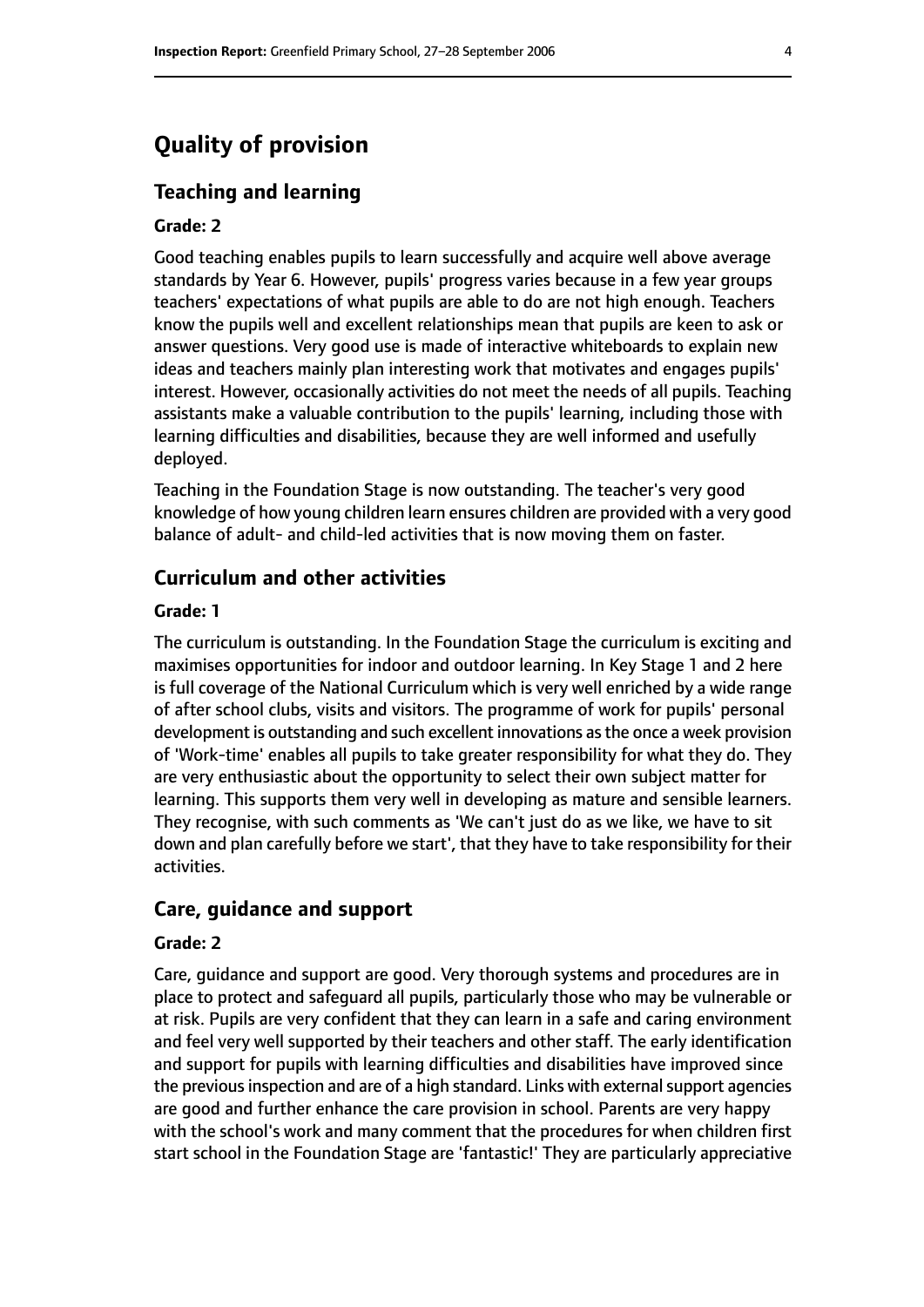# **Quality of provision**

#### **Teaching and learning**

#### **Grade: 2**

Good teaching enables pupils to learn successfully and acquire well above average standards by Year 6. However, pupils' progress varies because in a few year groups teachers' expectations of what pupils are able to do are not high enough. Teachers know the pupils well and excellent relationships mean that pupils are keen to ask or answer questions. Very good use is made of interactive whiteboards to explain new ideas and teachers mainly plan interesting work that motivates and engages pupils' interest. However, occasionally activities do not meet the needs of all pupils. Teaching assistants make a valuable contribution to the pupils' learning, including those with learning difficulties and disabilities, because they are well informed and usefully deployed.

Teaching in the Foundation Stage is now outstanding. The teacher's very good knowledge of how young children learn ensures children are provided with a very good balance of adult- and child-led activities that is now moving them on faster.

#### **Curriculum and other activities**

#### **Grade: 1**

The curriculum is outstanding. In the Foundation Stage the curriculum is exciting and maximises opportunities for indoor and outdoor learning. In Key Stage 1 and 2 here is full coverage of the National Curriculum which is very well enriched by a wide range of after school clubs, visits and visitors. The programme of work for pupils' personal development is outstanding and such excellent innovations asthe once a week provision of 'Work-time' enables all pupils to take greater responsibility for what they do. They are very enthusiastic about the opportunity to select their own subject matter for learning. This supports them very well in developing as mature and sensible learners. They recognise, with such comments as 'We can't just do as we like, we have to sit down and plan carefully before we start', that they have to take responsibility for their activities.

#### **Care, guidance and support**

#### **Grade: 2**

Care, guidance and support are good. Very thorough systems and procedures are in place to protect and safeguard all pupils, particularly those who may be vulnerable or at risk. Pupils are very confident that they can learn in a safe and caring environment and feel very well supported by their teachers and other staff. The early identification and support for pupils with learning difficulties and disabilities have improved since the previous inspection and are of a high standard. Links with external support agencies are good and further enhance the care provision in school. Parents are very happy with the school's work and many comment that the procedures for when children first start school in the Foundation Stage are 'fantastic!' They are particularly appreciative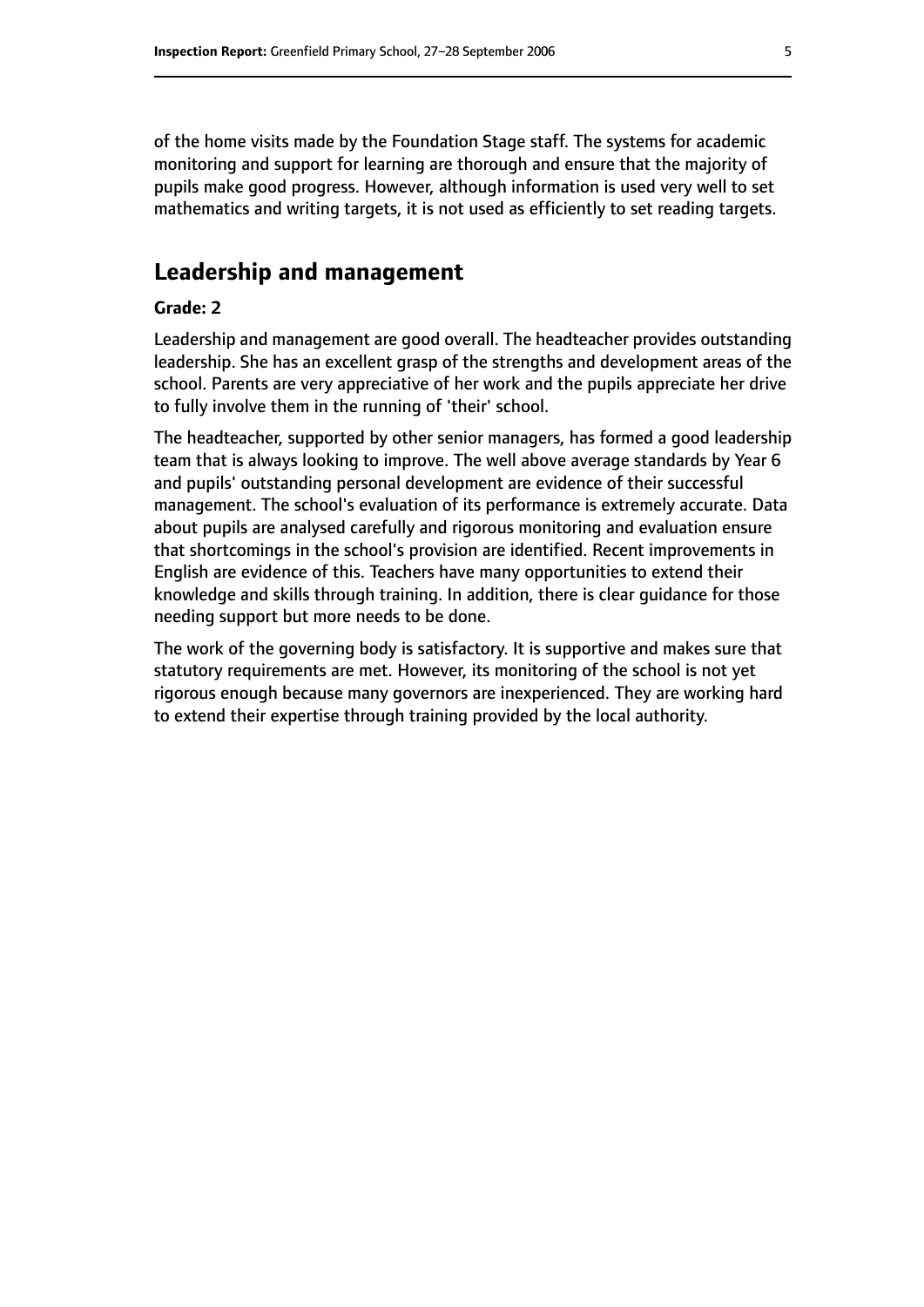of the home visits made by the Foundation Stage staff. The systems for academic monitoring and support for learning are thorough and ensure that the majority of pupils make good progress. However, although information is used very well to set mathematics and writing targets, it is not used as efficiently to set reading targets.

# **Leadership and management**

#### **Grade: 2**

Leadership and management are good overall. The headteacher provides outstanding leadership. She has an excellent grasp of the strengths and development areas of the school. Parents are very appreciative of her work and the pupils appreciate her drive to fully involve them in the running of 'their' school.

The headteacher, supported by other senior managers, has formed a good leadership team that is always looking to improve. The well above average standards by Year 6 and pupils' outstanding personal development are evidence of their successful management. The school's evaluation of its performance is extremely accurate. Data about pupils are analysed carefully and rigorous monitoring and evaluation ensure that shortcomings in the school's provision are identified. Recent improvements in English are evidence of this. Teachers have many opportunities to extend their knowledge and skills through training. In addition, there is clear guidance for those needing support but more needs to be done.

The work of the governing body is satisfactory. It is supportive and makes sure that statutory requirements are met. However, its monitoring of the school is not yet rigorous enough because many governors are inexperienced. They are working hard to extend their expertise through training provided by the local authority.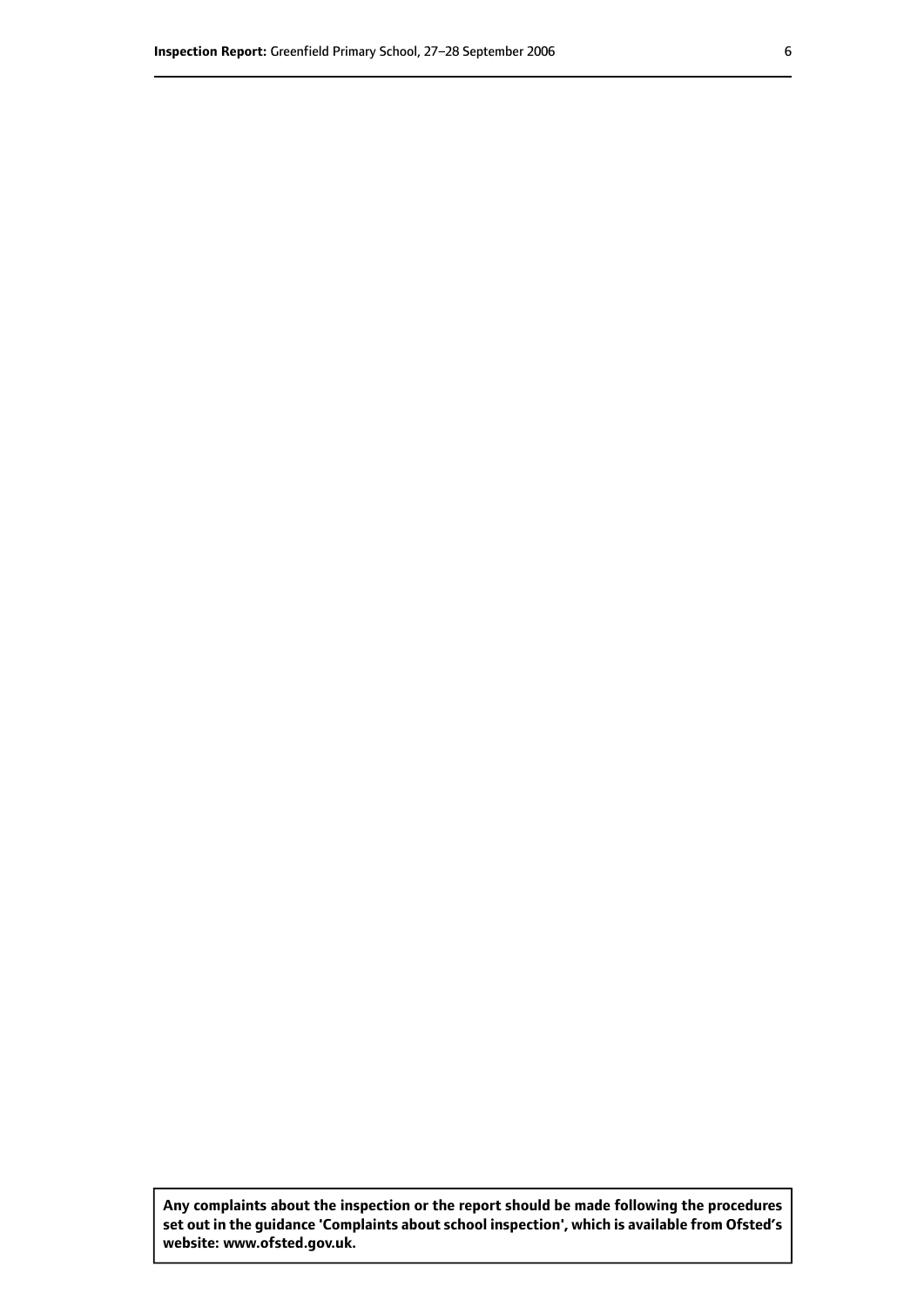**Any complaints about the inspection or the report should be made following the procedures set out inthe guidance 'Complaints about school inspection', whichis available from Ofsted's website: www.ofsted.gov.uk.**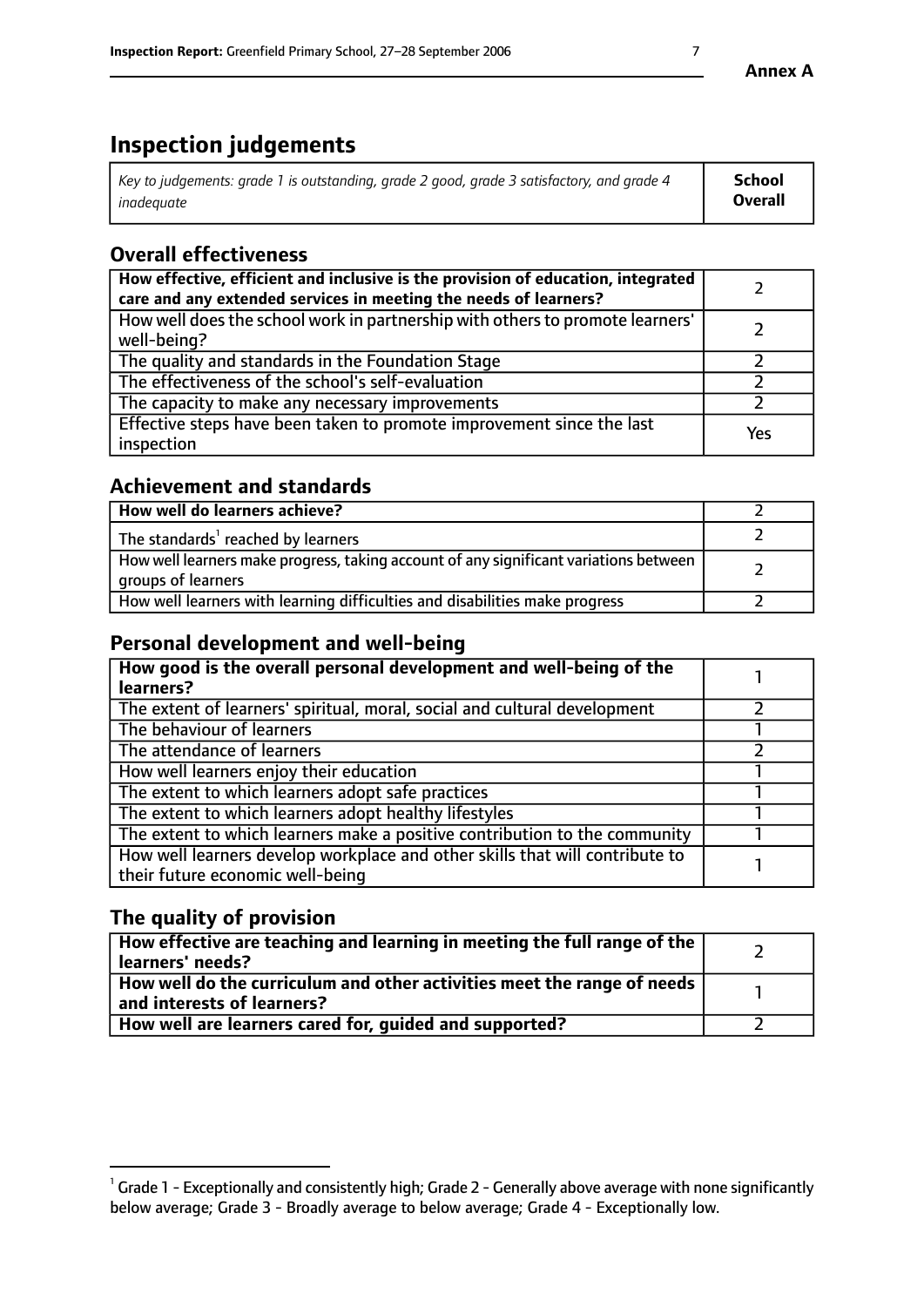# **Inspection judgements**

| $^{\circ}$ Key to judgements: grade 1 is outstanding, grade 2 good, grade 3 satisfactory, and grade 4 $^{\circ}$ | School         |
|------------------------------------------------------------------------------------------------------------------|----------------|
| inadequate                                                                                                       | <b>Overall</b> |

# **Overall effectiveness**

| How effective, efficient and inclusive is the provision of education, integrated<br>care and any extended services in meeting the needs of learners? |     |
|------------------------------------------------------------------------------------------------------------------------------------------------------|-----|
| How well does the school work in partnership with others to promote learners'<br>well-being?                                                         |     |
| The quality and standards in the Foundation Stage                                                                                                    |     |
| The effectiveness of the school's self-evaluation                                                                                                    |     |
| The capacity to make any necessary improvements                                                                                                      |     |
| Effective steps have been taken to promote improvement since the last<br>inspection                                                                  | Yes |

# **Achievement and standards**

| How well do learners achieve?                                                                                            |  |
|--------------------------------------------------------------------------------------------------------------------------|--|
| The standards <sup>1</sup> reached by learners                                                                           |  |
| How well learners make progress, taking account of any significant variations between<br><sup>I</sup> groups of learners |  |
| How well learners with learning difficulties and disabilities make progress                                              |  |

# **Personal development and well-being**

| How good is the overall personal development and well-being of the<br>learners?                                  |  |
|------------------------------------------------------------------------------------------------------------------|--|
| The extent of learners' spiritual, moral, social and cultural development                                        |  |
| The behaviour of learners                                                                                        |  |
| The attendance of learners                                                                                       |  |
| How well learners enjoy their education                                                                          |  |
| The extent to which learners adopt safe practices                                                                |  |
| The extent to which learners adopt healthy lifestyles                                                            |  |
| The extent to which learners make a positive contribution to the community                                       |  |
| How well learners develop workplace and other skills that will contribute to<br>their future economic well-being |  |

# **The quality of provision**

| $\Box$ How effective are teaching and learning in meeting the full range of the $\Box$<br>  learners' needs?        |  |
|---------------------------------------------------------------------------------------------------------------------|--|
| $\mid$ How well do the curriculum and other activities meet the range of needs<br>$\mid$ and interests of learners? |  |
| How well are learners cared for, guided and supported?                                                              |  |

 $^1$  Grade 1 - Exceptionally and consistently high; Grade 2 - Generally above average with none significantly below average; Grade 3 - Broadly average to below average; Grade 4 - Exceptionally low.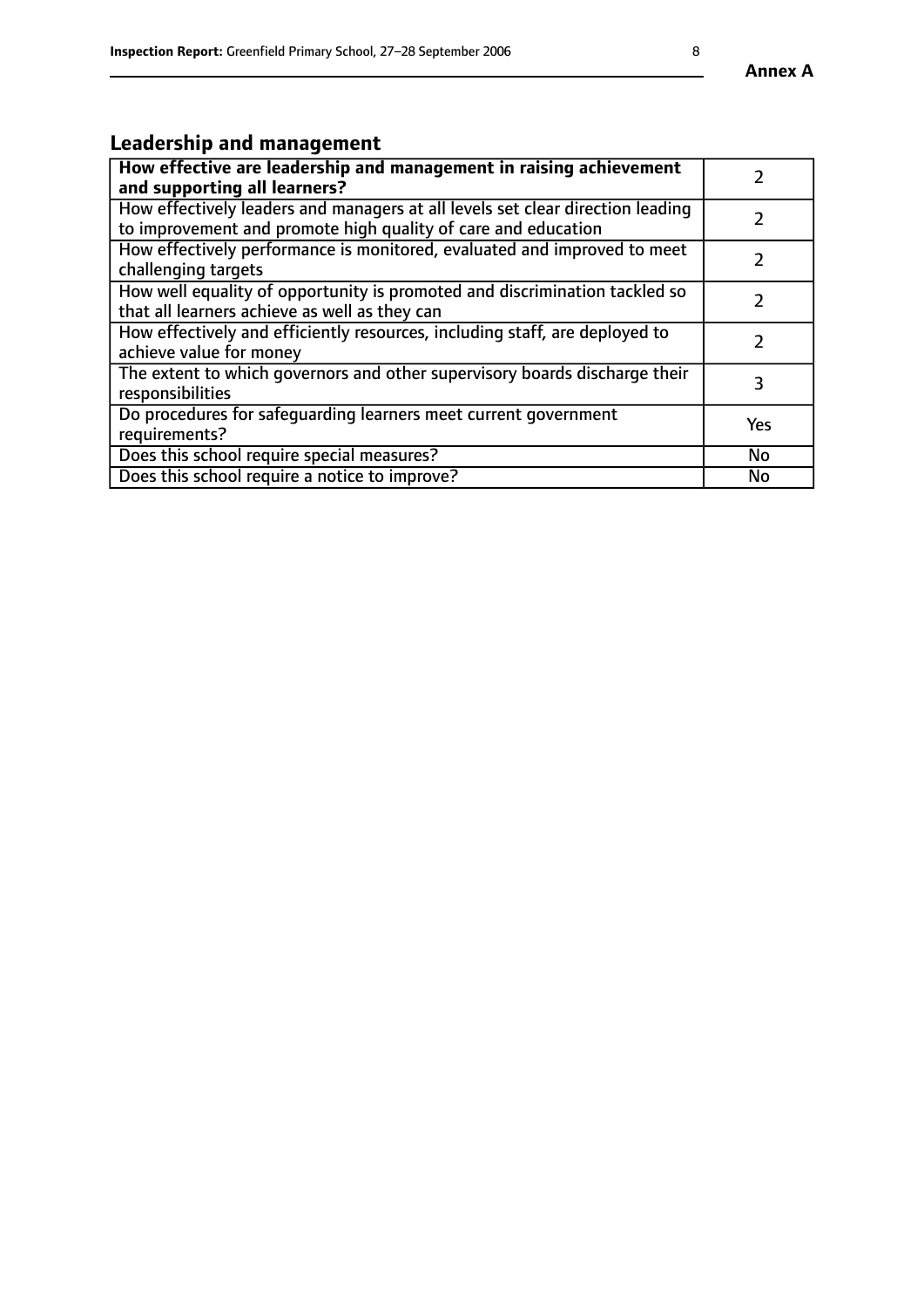# **Leadership and management**

| How effective are leadership and management in raising achievement<br>and supporting all learners?                                              |               |
|-------------------------------------------------------------------------------------------------------------------------------------------------|---------------|
| How effectively leaders and managers at all levels set clear direction leading<br>to improvement and promote high quality of care and education |               |
| How effectively performance is monitored, evaluated and improved to meet<br>challenging targets                                                 | $\mathcal{L}$ |
| How well equality of opportunity is promoted and discrimination tackled so<br>that all learners achieve as well as they can                     |               |
| How effectively and efficiently resources, including staff, are deployed to<br>achieve value for money                                          | $\mathcal{P}$ |
| The extent to which governors and other supervisory boards discharge their<br>responsibilities                                                  | 3             |
| Do procedures for safequarding learners meet current government<br>requirements?                                                                | Yes           |
| Does this school require special measures?                                                                                                      | No            |
| Does this school require a notice to improve?                                                                                                   | <b>No</b>     |